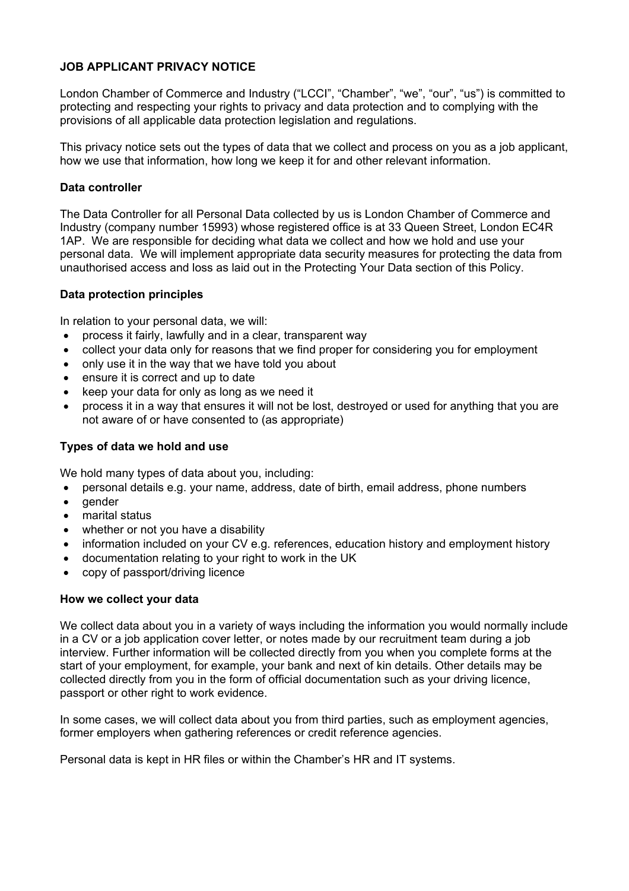# **JOB APPLICANT PRIVACY NOTICE**

London Chamber of Commerce and Industry ("LCCI", "Chamber", "we", "our", "us") is committed to protecting and respecting your rights to privacy and data protection and to complying with the provisions of all applicable data protection legislation and regulations.

This privacy notice sets out the types of data that we collect and process on you as a job applicant, how we use that information, how long we keep it for and other relevant information.

#### **Data controller**

The Data Controller for all Personal Data collected by us is London Chamber of Commerce and Industry (company number 15993) whose registered office is at 33 Queen Street, London EC4R 1AP. We are responsible for deciding what data we collect and how we hold and use your personal data. We will implement appropriate data security measures for protecting the data from unauthorised access and loss as laid out in the Protecting Your Data section of this Policy.

#### **Data protection principles**

In relation to your personal data, we will:

- process it fairly, lawfully and in a clear, transparent way
- collect your data only for reasons that we find proper for considering you for employment
- only use it in the way that we have told you about
- ensure it is correct and up to date
- keep your data for only as long as we need it
- process it in a way that ensures it will not be lost, destroyed or used for anything that you are not aware of or have consented to (as appropriate)

# **Types of data we hold and use**

We hold many types of data about you, including:

- personal details e.g. your name, address, date of birth, email address, phone numbers
- gender
- marital status
- whether or not you have a disability
- information included on your CV e.g. references, education history and employment history
- documentation relating to your right to work in the UK
- copy of passport/driving licence

#### **How we collect your data**

We collect data about you in a variety of ways including the information you would normally include in a CV or a job application cover letter, or notes made by our recruitment team during a job interview. Further information will be collected directly from you when you complete forms at the start of your employment, for example, your bank and next of kin details. Other details may be collected directly from you in the form of official documentation such as your driving licence, passport or other right to work evidence.

In some cases, we will collect data about you from third parties, such as employment agencies, former employers when gathering references or credit reference agencies.

Personal data is kept in HR files or within the Chamber's HR and IT systems.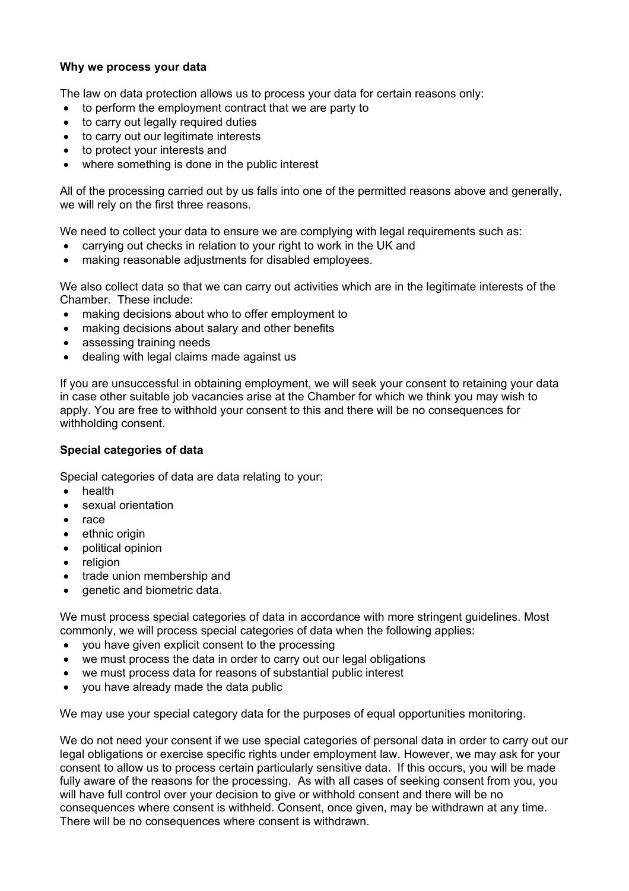### **Why we process your data**

The law on data protection allows us to process your data for certain reasons only:

- to perform the employment contract that we are party to
- to carry out legally required duties
- to carry out our legitimate interests
- to protect your interests and
- where something is done in the public interest

All of the processing carried out by us falls into one of the permitted reasons above and generally, we will rely on the first three reasons.

We need to collect your data to ensure we are complying with legal requirements such as:

- carrying out checks in relation to your right to work in the UK and
- making reasonable adjustments for disabled employees.

We also collect data so that we can carry out activities which are in the legitimate interests of the Chamber. These include:

- making decisions about who to offer employment to
- making decisions about salary and other benefits
- assessing training needs
- dealing with legal claims made against us

If you are unsuccessful in obtaining employment, we will seek your consent to retaining your data in case other suitable job vacancies arise at the Chamber for which we think you may wish to apply. You are free to withhold your consent to this and there will be no consequences for withholding consent.

# **Special categories of data**

Special categories of data are data relating to your:

- health
- sexual orientation
- race
- ethnic origin
- political opinion
- religion
- trade union membership and
- genetic and biometric data.

We must process special categories of data in accordance with more stringent guidelines. Most commonly, we will process special categories of data when the following applies:

- you have given explicit consent to the processing
- we must process the data in order to carry out our legal obligations
- we must process data for reasons of substantial public interest
- you have already made the data public

We may use your special category data for the purposes of equal opportunities monitoring.

We do not need your consent if we use special categories of personal data in order to carry out our legal obligations or exercise specific rights under employment law. However, we may ask for your consent to allow us to process certain particularly sensitive data. If this occurs, you will be made fully aware of the reasons for the processing. As with all cases of seeking consent from you, you will have full control over your decision to give or withhold consent and there will be no consequences where consent is withheld. Consent, once given, may be withdrawn at any time. There will be no consequences where consent is withdrawn.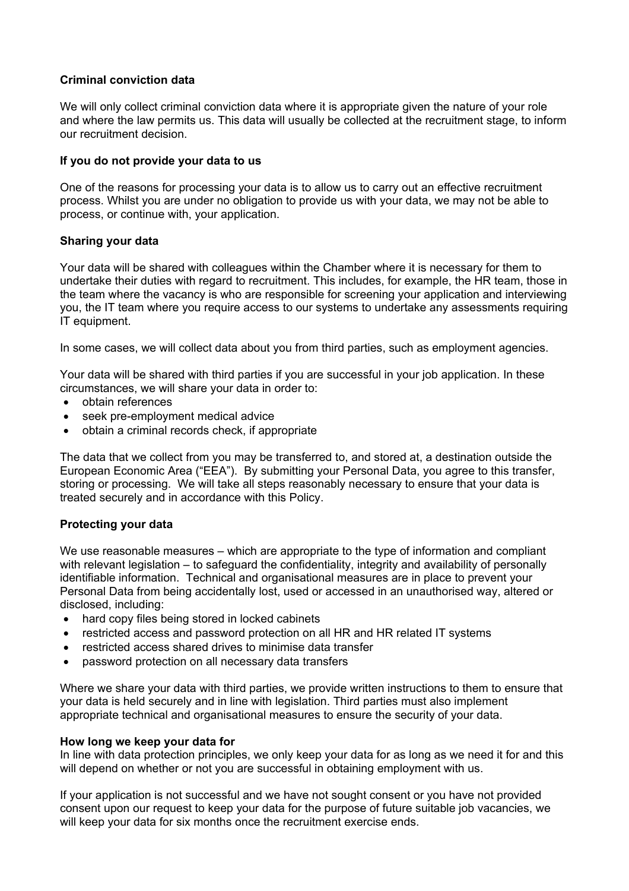# **Criminal conviction data**

We will only collect criminal conviction data where it is appropriate given the nature of your role and where the law permits us. This data will usually be collected at the recruitment stage, to inform our recruitment decision.

### **If you do not provide your data to us**

One of the reasons for processing your data is to allow us to carry out an effective recruitment process. Whilst you are under no obligation to provide us with your data, we may not be able to process, or continue with, your application.

#### **Sharing your data**

Your data will be shared with colleagues within the Chamber where it is necessary for them to undertake their duties with regard to recruitment. This includes, for example, the HR team, those in the team where the vacancy is who are responsible for screening your application and interviewing you, the IT team where you require access to our systems to undertake any assessments requiring IT equipment.

In some cases, we will collect data about you from third parties, such as employment agencies.

Your data will be shared with third parties if you are successful in your job application. In these circumstances, we will share your data in order to:

- obtain references
- seek pre-employment medical advice
- obtain a criminal records check, if appropriate

The data that we collect from you may be transferred to, and stored at, a destination outside the European Economic Area ("EEA"). By submitting your Personal Data, you agree to this transfer, storing or processing. We will take all steps reasonably necessary to ensure that your data is treated securely and in accordance with this Policy.

# **Protecting your data**

We use reasonable measures – which are appropriate to the type of information and compliant with relevant legislation – to safeguard the confidentiality, integrity and availability of personally identifiable information. Technical and organisational measures are in place to prevent your Personal Data from being accidentally lost, used or accessed in an unauthorised way, altered or disclosed, including:

- hard copy files being stored in locked cabinets
- restricted access and password protection on all HR and HR related IT systems
- restricted access shared drives to minimise data transfer
- password protection on all necessary data transfers

Where we share your data with third parties, we provide written instructions to them to ensure that your data is held securely and in line with legislation. Third parties must also implement appropriate technical and organisational measures to ensure the security of your data.

#### **How long we keep your data for**

In line with data protection principles, we only keep your data for as long as we need it for and this will depend on whether or not you are successful in obtaining employment with us.

If your application is not successful and we have not sought consent or you have not provided consent upon our request to keep your data for the purpose of future suitable job vacancies, we will keep your data for six months once the recruitment exercise ends.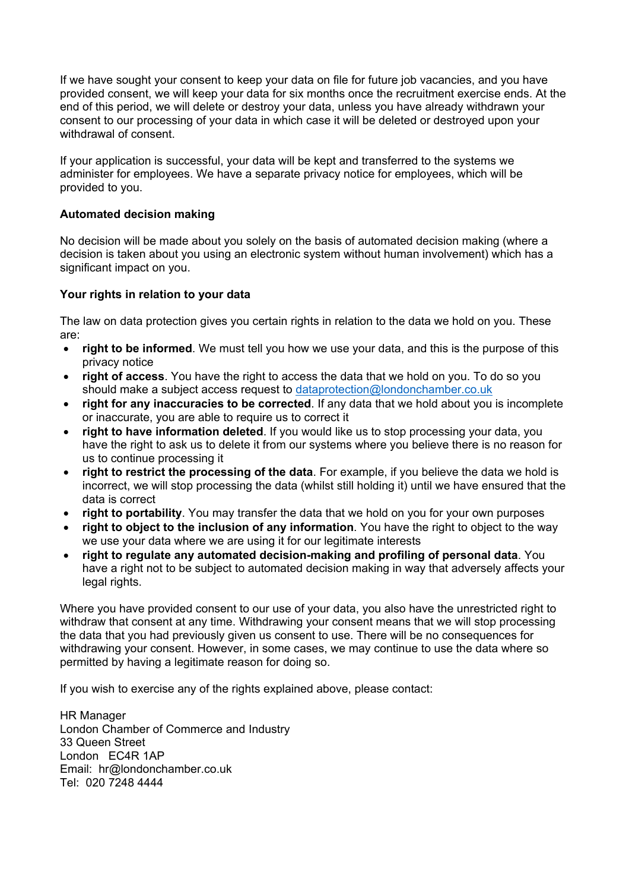If we have sought your consent to keep your data on file for future job vacancies, and you have provided consent, we will keep your data for six months once the recruitment exercise ends. At the end of this period, we will delete or destroy your data, unless you have already withdrawn your consent to our processing of your data in which case it will be deleted or destroyed upon your withdrawal of consent.

If your application is successful, your data will be kept and transferred to the systems we administer for employees. We have a separate privacy notice for employees, which will be provided to you.

# **Automated decision making**

No decision will be made about you solely on the basis of automated decision making (where a decision is taken about you using an electronic system without human involvement) which has a significant impact on you.

# **Your rights in relation to your data**

The law on data protection gives you certain rights in relation to the data we hold on you. These are:

- **right to be informed**. We must tell you how we use your data, and this is the purpose of this privacy notice
- **right of access**. You have the right to access the data that we hold on you. To do so you should make a subject access request to dataprotection@londonchamber.co.uk
- **right for any inaccuracies to be corrected**. If any data that we hold about you is incomplete or inaccurate, you are able to require us to correct it
- **right to have information deleted**. If you would like us to stop processing your data, you have the right to ask us to delete it from our systems where you believe there is no reason for us to continue processing it
- **right to restrict the processing of the data**. For example, if you believe the data we hold is incorrect, we will stop processing the data (whilst still holding it) until we have ensured that the data is correct
- **right to portability**. You may transfer the data that we hold on you for your own purposes
- **right to object to the inclusion of any information**. You have the right to object to the way we use your data where we are using it for our legitimate interests
- **right to regulate any automated decision-making and profiling of personal data**. You have a right not to be subject to automated decision making in way that adversely affects your legal rights.

Where you have provided consent to our use of your data, you also have the unrestricted right to withdraw that consent at any time. Withdrawing your consent means that we will stop processing the data that you had previously given us consent to use. There will be no consequences for withdrawing your consent. However, in some cases, we may continue to use the data where so permitted by having a legitimate reason for doing so.

If you wish to exercise any of the rights explained above, please contact:

HR Manager London Chamber of Commerce and Industry 33 Queen Street London EC4R 1AP Email: hr@londonchamber.co.uk Tel: 020 7248 4444